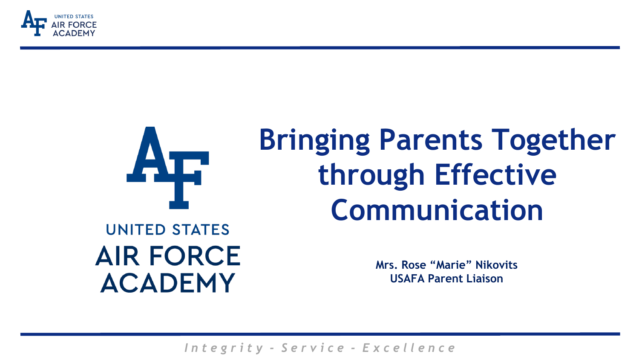



# **Bringing Parents Together through Effective Communication**

### **UNITED STATES AIR FORCE ACADEMY**

**Mrs. Rose "Marie" Nikovits USAFA Parent Liaison**

*I n t e g r i t y - S e r v i c e - E x c e l l e n c e*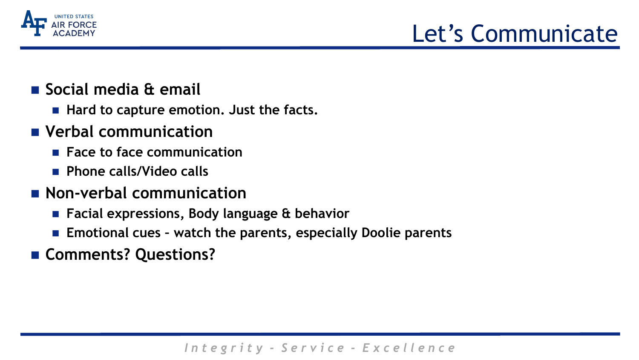

## Let's Communicate

- **Social media & email**
	- **Hard to capture emotion. Just the facts.**
- **Verbal communication**
	- **Face to face communication**
	- **Phone calls/Video calls**
- **Non-verbal communication** 
	- **Facial expressions, Body language & behavior**
	- **Emotional cues – watch the parents, especially Doolie parents**
- **Comments? Questions?**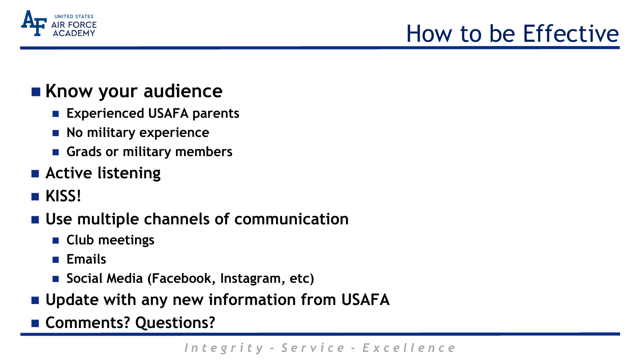

## How to be Effective

### **Know your audience**

- **Experienced USAFA parents**
- **No military experience**
- **Grads or military members**
- **Active listening**
- **KISS!**
- **Use multiple channels of communication**
	- **Club meetings**
	- **Emails**
	- Social Media (Facebook, Instagram, etc)
- **Update with any new information from USAFA**
- **Comments? Questions?**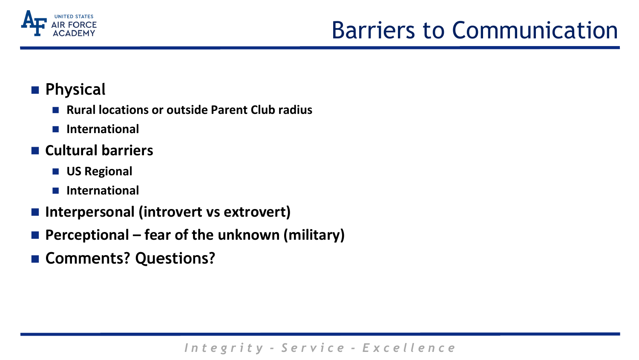

## Barriers to Communication

### **Physical**

- Rural locations or outside Parent Club radius
- **International**
- **Cultural barriers**
	- **US Regional**
	- **International**
- **Interpersonal (introvert vs extrovert)**
- Perceptional fear of the unknown (military)
- **Comments? Questions?**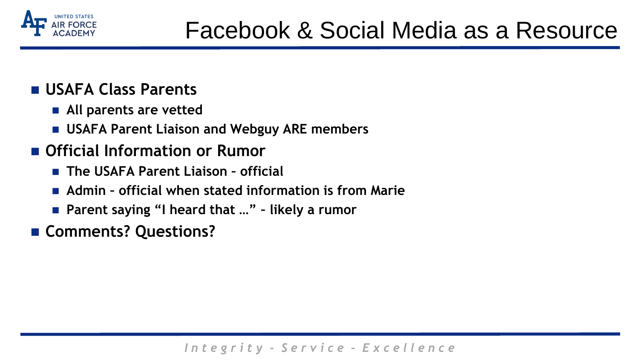

- **USAFA Class Parents**
	- **All parents are vetted**
	- **USAFA Parent Liaison and Webguy ARE members**
- **Official Information or Rumor**
	- **The USAFA Parent Liaison – official**
	- **Admin – official when stated information is from Marie**
	- Parent saying "I heard that ..." likely a rumor
- **Comments? Questions?**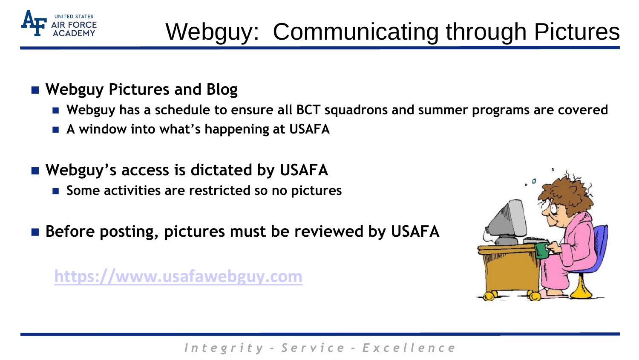

# Webguy: Communicating through Pictures

### **Webguy Pictures and Blog**

- **Webguy has a schedule to ensure all BCT squadrons and summer programs are covered**
- **A window into what's happening at USAFA**
- **Webguy's access is dictated by USAFA**
	- Some activities are restricted so no pictures
- Before posting, pictures must be reviewed by USAFA

**[https://www.usafawebguy.com](https://www.usafawebguy.com/)**

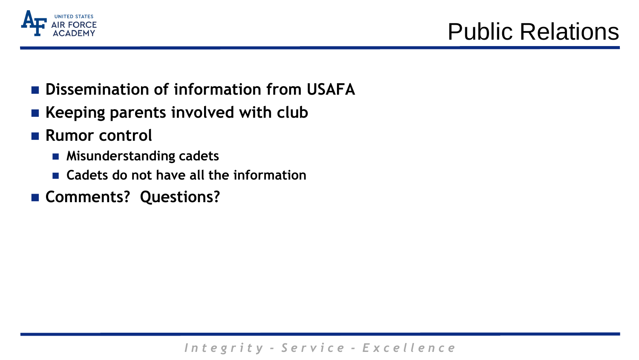

- **Dissemination of information from USAFA**
- **Keeping parents involved with club**
- Rumor control
	- **Misunderstanding cadets**
	- **Cadets do not have all the information**
- **Comments? Questions?**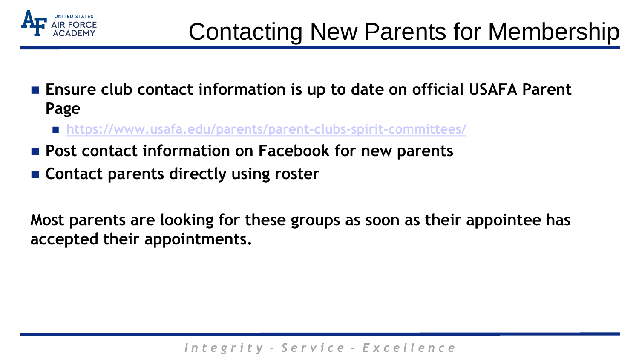

- Ensure club contact information is up to date on official USAFA Parent **Page** 
	- **<https://www.usafa.edu/parents/parent-clubs-spirit-committees/>**
- Post contact information on Facebook for new parents
- **Contact parents directly using roster**

**Most parents are looking for these groups as soon as their appointee has accepted their appointments.**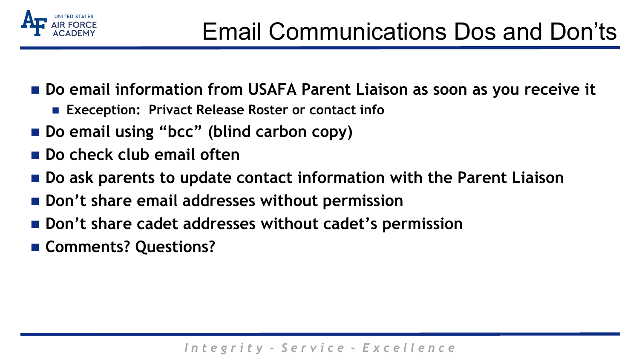

- Do email information from USAFA Parent Liaison as soon as you receive it
	- **Exeception: Privact Release Roster or contact info**
- Do email using "bcc" (blind carbon copy)
- **Do check club email often**
- **Do ask parents to update contact information with the Parent Liaison**
- $\blacksquare$  Don't share email addresses without permission
- Don't share cadet addresses without cadet's permission
- **Comments? Questions?**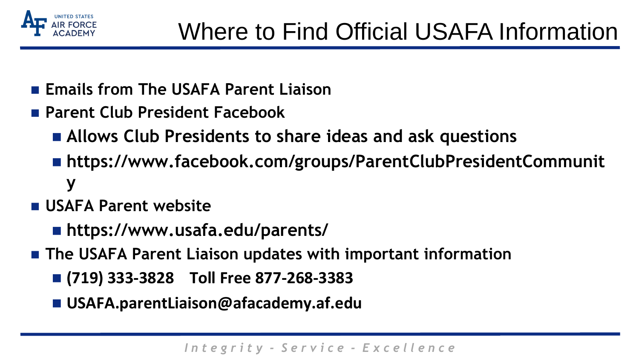

- **Emails from The USAFA Parent Liaison**
- **Parent Club President Facebook**
	- **Allows Club Presidents to share ideas and ask questions**
	- **https://www.facebook.com/groups/ParentClubPresidentCommunit y**
- **USAFA Parent website**
	- **https://www.usafa.edu/parents/**
- **The USAFA Parent Liaison updates with important information**
	- **(719) 333-3828 Toll Free 877-268-3383**
	- **USAFA.parentLiaison@afacademy.af.edu**